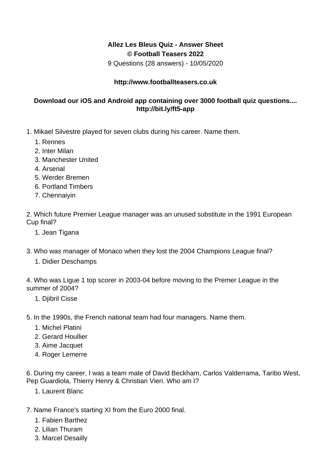## **Allez Les Bleus Quiz - Answer Sheet © Football Teasers 2022**

9 Questions (28 answers) - 10/05/2020

## **http://www.footballteasers.co.uk**

## **Download our iOS and Android app containing over 3000 football quiz questions.... http://bit.ly/ft5-app**

- 1. Mikael Silvestre played for seven clubs during his career. Name them.
	- 1. Rennes
	- 2. Inter Milan
	- 3. Manchester United
	- 4. Arsenal
	- 5. Werder Bremen
	- 6. Portland Timbers
	- 7. Chennaiyin

2. Which future Premier League manager was an unused substitute in the 1991 European Cup final?

- 1. Jean Tigana
- 3. Who was manager of Monaco when they lost the 2004 Champions League final?
	- 1. Didier Deschamps

4. Who was Ligue 1 top scorer in 2003-04 before moving to the Premer League in the summer of 2004?

1. Djibril Cisse

5. In the 1990s, the French national team had four managers. Name them.

- 1. Michel Platini
- 2. Gerard Houllier
- 3. Aime Jacquet
- 4. Roger Lemerre

6. During my career, I was a team mate of David Beckham, Carlos Valderrama, Taribo West, Pep Guardiola, Thierry Henry & Christian Vieri. Who am I?

- 1. Laurent Blanc
- 7. Name France's starting XI from the Euro 2000 final.
	- 1. Fabien Barthez
	- 2. Lilian Thuram
	- 3. Marcel Desailly